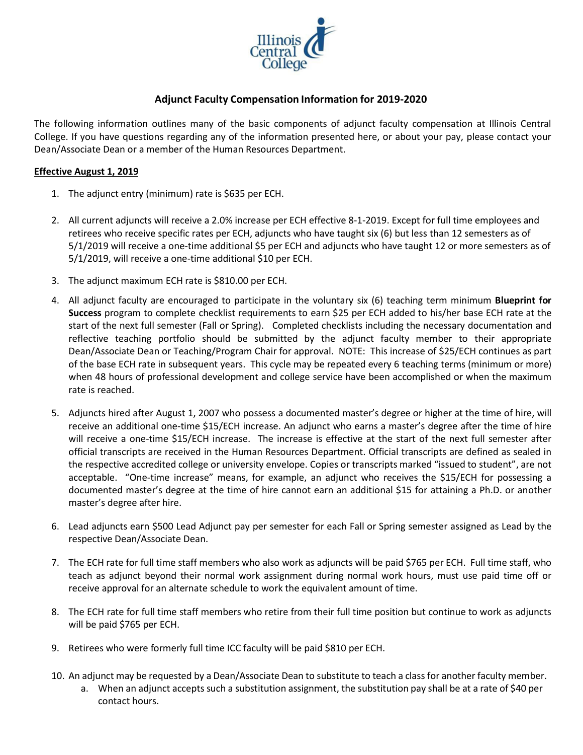

# **Adjunct Faculty Compensation Information for 2019-2020**

The following information outlines many of the basic components of adjunct faculty compensation at Illinois Central College. If you have questions regarding any of the information presented here, or about your pay, please contact your Dean/Associate Dean or a member of the Human Resources Department.

## **Effective August 1, 2019**

- 1. The adjunct entry (minimum) rate is \$635 per ECH.
- 2. All current adjuncts will receive a 2.0% increase per ECH effective 8-1-2019. Except for full time employees and retirees who receive specific rates per ECH, adjuncts who have taught six (6) but less than 12 semesters as of 5/1/2019 will receive a one-time additional \$5 per ECH and adjuncts who have taught 12 or more semesters as of 5/1/2019, will receive a one-time additional \$10 per ECH.
- 3. The adjunct maximum ECH rate is \$810.00 per ECH.
- 4. All adjunct faculty are encouraged to participate in the voluntary six (6) teaching term minimum **Blueprint for Success** program to complete checklist requirements to earn \$25 per ECH added to his/her base ECH rate at the start of the next full semester (Fall or Spring). Completed checklists including the necessary documentation and reflective teaching portfolio should be submitted by the adjunct faculty member to their appropriate Dean/Associate Dean or Teaching/Program Chair for approval. NOTE: This increase of \$25/ECH continues as part of the base ECH rate in subsequent years. This cycle may be repeated every 6 teaching terms (minimum or more) when 48 hours of professional development and college service have been accomplished or when the maximum rate is reached.
- 5. Adjuncts hired after August 1, 2007 who possess a documented master's degree or higher at the time of hire, will receive an additional one-time \$15/ECH increase. An adjunct who earns a master's degree after the time of hire will receive a one-time \$15/ECH increase. The increase is effective at the start of the next full semester after official transcripts are received in the Human Resources Department. Official transcripts are defined as sealed in the respective accredited college or university envelope. Copies or transcripts marked "issued to student", are not acceptable. "One-time increase" means, for example, an adjunct who receives the \$15/ECH for possessing a documented master's degree at the time of hire cannot earn an additional \$15 for attaining a Ph.D. or another master's degree after hire.
- 6. Lead adjuncts earn \$500 Lead Adjunct pay per semester for each Fall or Spring semester assigned as Lead by the respective Dean/Associate Dean.
- 7. The ECH rate for full time staff members who also work as adjuncts will be paid \$765 per ECH. Full time staff, who teach as adjunct beyond their normal work assignment during normal work hours, must use paid time off or receive approval for an alternate schedule to work the equivalent amount of time.
- 8. The ECH rate for full time staff members who retire from their full time position but continue to work as adjuncts will be paid \$765 per ECH.
- 9. Retirees who were formerly full time ICC faculty will be paid \$810 per ECH.
- 10. An adjunct may be requested by a Dean/Associate Dean to substitute to teach a class for another faculty member.
	- a. When an adjunct accepts such a substitution assignment, the substitution pay shall be at a rate of \$40 per contact hours.